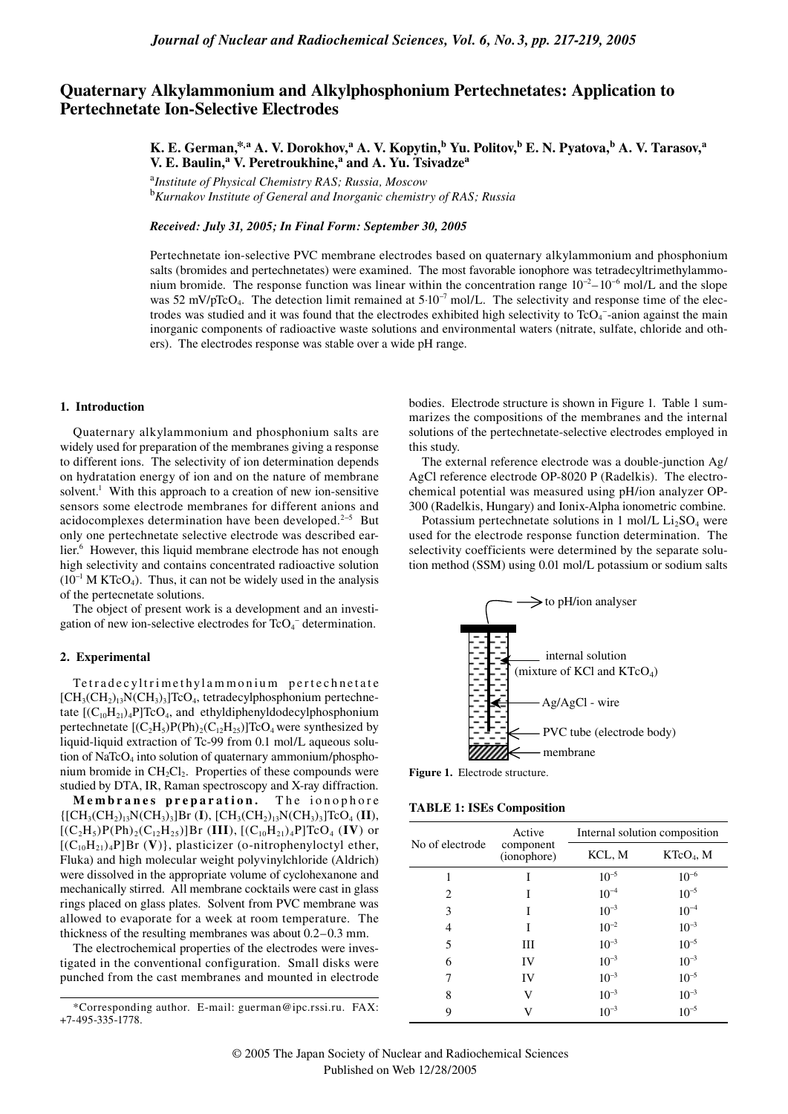# **Quaternary Alkylammonium and Alkylphosphonium Pertechnetates: Application to Pertechnetate Ion-Selective Electrodes**

**K. E. German,\*,a A. V. Dorokhov,<sup>a</sup> A. V. Kopytin,b Yu. Politov,b E. N. Pyatova,b A. V. Tarasov,a V. E. Baulin,<sup>a</sup> V. Peretroukhine,<sup>a</sup> and A. Yu. Tsivadze<sup>a</sup>**

<sup>a</sup>*Institute of Physical Chemistry RAS; Russia, Moscow*  <sup>b</sup>*Kurnakov Institute of General and Inorganic chemistry of RAS; Russia*

*Received: July 31, 2005; In Final Form: September 30, 2005*

Pertechnetate ion-selective PVC membrane electrodes based on quaternary alkylammonium and phosphonium salts (bromides and pertechnetates) were examined. The most favorable ionophore was tetradecyltrimethylammonium bromide. The response function was linear within the concentration range  $10^{-2} - 10^{-6}$  mol/L and the slope was 52 mV/pTcO<sub>4</sub>. The detection limit remained at 5⋅10<sup>-7</sup> mol/L. The selectivity and response time of the electrodes was studied and it was found that the electrodes exhibited high selectivity to  $TcO<sub>4</sub>$ -anion against the main inorganic components of radioactive waste solutions and environmental waters (nitrate, sulfate, chloride and others). The electrodes response was stable over a wide pH range.

#### **1. Introduction**

Quaternary alkylammonium and phosphonium salts are widely used for preparation of the membranes giving a response to different ions. The selectivity of ion determination depends on hydratation energy of ion and on the nature of membrane solvent.<sup>1</sup> With this approach to a creation of new ion-sensitive sensors some electrode membranes for different anions and acidocomplexes determination have been developed.<sup>2–5</sup> But only one pertechnetate selective electrode was described earlier.<sup>6</sup> However, this liquid membrane electrode has not enough high selectivity and contains concentrated radioactive solution  $(10^{-1}$  M KTcO<sub>4</sub>). Thus, it can not be widely used in the analysis of the pertecnetate solutions.

The object of present work is a development and an investigation of new ion-selective electrodes for  $TcO<sub>4</sub>^-$  determination.

## **2. Experimental**

Te tradecyltrimethylammonium pertechnetate  $[CH<sub>3</sub>(CH<sub>2</sub>)<sub>13</sub>N(CH<sub>3</sub>)<sub>3</sub>]$ TcO<sub>4</sub>, tetradecylphosphonium pertechnetate  $[(C_{10}H_{21})_4P]TcO_4$ , and ethyldiphenyldodecylphosphonium pertechnetate  $[(C_2H_5)P(Ph)_2(C_{12}H_{25})]TcO_4$  were synthesized by liquid-liquid extraction of Tc-99 from 0.1 mol/L aqueous solution of NaTc $O<sub>4</sub>$  into solution of quaternary ammonium/phosphonium bromide in  $CH_2Cl_2$ . Properties of these compounds were studied by DTA, IR, Raman spectroscopy and X-ray diffraction.

**Membranes preparation.** The ionophore {[CH3(CH2)13N(CH3)3]Br (**I**), [CH3(CH2)13N(CH3)3]TcO4 (**II**),  $[(C_2H_5)P(Ph)_2(C_{12}H_{25})]Br$  (III),  $[(C_{10}H_{21})_4P]TcO_4$  (IV) or  $[(C_{10}H_{21})_4P]Br$  (V)}, plasticizer (o-nitrophenyloctyl ether, Fluka) and high molecular weight polyvinylchloride (Aldrich) were dissolved in the appropriate volume of cyclohexanone and mechanically stirred. All membrane cocktails were cast in glass rings placed on glass plates. Solvent from PVC membrane was allowed to evaporate for a week at room temperature. The thickness of the resulting membranes was about 0.2–0.3 mm.

The electrochemical properties of the electrodes were investigated in the conventional configuration. Small disks were punched from the cast membranes and mounted in electrode

\*Corresponding author. E-mail: guerman@ipc.rssi.ru. FAX: +7-495-335-1778.

bodies. Electrode structure is shown in Figure 1. Table 1 summarizes the compositions of the membranes and the internal solutions of the pertechnetate-selective electrodes employed in this study.

The external reference electrode was a double-junction Ag/ AgCl reference electrode OP-8020 P (Radelkis). The electrochemical potential was measured using pH/ion analyzer OP-300 (Radelkis, Hungary) and Ionix-Alpha ionometric combine.

Potassium pertechnetate solutions in 1 mol/L  $Li<sub>2</sub>SO<sub>4</sub>$  were used for the electrode response function determination. The selectivity coefficients were determined by the separate solution method (SSM) using 0.01 mol/L potassium or sodium salts



**Figure 1.** Electrode structure.

**TABLE 1: ISEs Composition**

| No of electrode | Active<br>component<br>(ionophore) | Internal solution composition |             |
|-----------------|------------------------------------|-------------------------------|-------------|
|                 |                                    | KCL, M                        | $KTeO4$ , M |
|                 | I                                  | $10^{-5}$                     | $10^{-6}$   |
| 2               | T                                  | $10^{-4}$                     | $10^{-5}$   |
| 3               | I                                  | $10^{-3}$                     | $10^{-4}$   |
| 4               | I                                  | $10^{-2}$                     | $10^{-3}$   |
| 5               | Ш                                  | $10^{-3}$                     | $10^{-5}$   |
| 6               | IV                                 | $10^{-3}$                     | $10^{-3}$   |
| 7               | IV                                 | $10^{-3}$                     | $10^{-5}$   |
| 8               | V                                  | $10^{-3}$                     | $10^{-3}$   |
| 9               | V                                  | $10^{-3}$                     | $10^{-5}$   |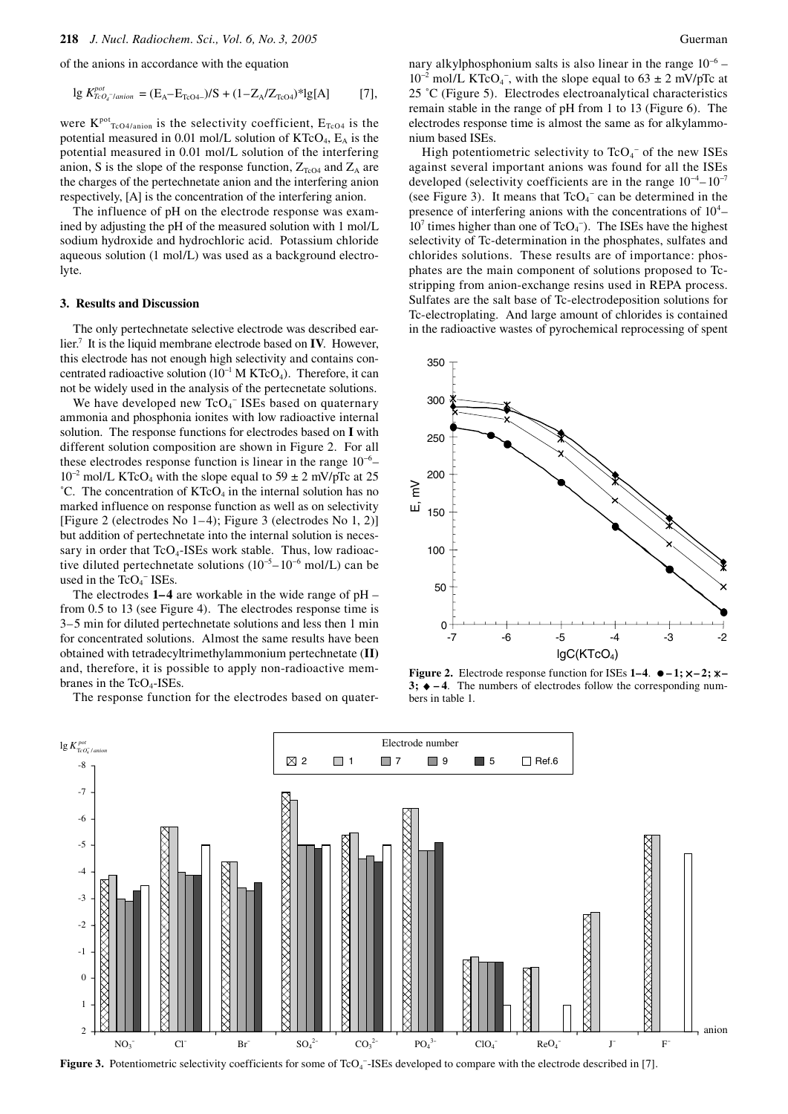of the anions in accordance with the equation

$$
\lg K_{TcO_4\text{-}lation}^{pot} = (E_A - E_{TcO4\text{-}})/S + (1 - Z_A/Z_{TcO4})^* \lg[A] \tag{7},
$$

were  $K<sup>pot</sup>_{TcO4/anion}$  is the selectivity coefficient,  $E<sub>TcO4</sub>$  is the potential measured in 0.01 mol/L solution of  $KTCO<sub>4</sub>$ ,  $E<sub>A</sub>$  is the potential measured in 0.01 mol/L solution of the interfering anion, S is the slope of the response function,  $Z_{Tc04}$  and  $Z_A$  are the charges of the pertechnetate anion and the interfering anion respectively, [A] is the concentration of the interfering anion.

The influence of pH on the electrode response was examined by adjusting the pH of the measured solution with 1 mol/L sodium hydroxide and hydrochloric acid. Potassium chloride aqueous solution (1 mol/L) was used as a background electrolyte.

#### **3. Results and Discussion**

The only pertechnetate selective electrode was described earlier.7 It is the liquid membrane electrode based on **IV**. However, this electrode has not enough high selectivity and contains concentrated radioactive solution  $(10^{-1} M KTcO<sub>4</sub>)$ . Therefore, it can not be widely used in the analysis of the pertecnetate solutions.

We have developed new  $TcO<sub>4</sub><sup>-</sup>$  ISEs based on quaternary ammonia and phosphonia ionites with low radioactive internal solution. The response functions for electrodes based on **I** with different solution composition are shown in Figure 2. For all these electrodes response function is linear in the range  $10^{-6}$ - $10^{-2}$  mol/L KTcO<sub>4</sub> with the slope equal to 59 ± 2 mV/pTc at 25  $^{\circ}$ C. The concentration of KTcO<sub>4</sub> in the internal solution has no marked influence on response function as well as on selectivity [Figure 2 (electrodes No 1–4); Figure 3 (electrodes No 1, 2)] but addition of pertechnetate into the internal solution is necessary in order that  $TcO<sub>4</sub>$ -ISEs work stable. Thus, low radioactive diluted pertechnetate solutions  $(10^{-5} - 10^{-6} \text{ mol/L})$  can be used in the  $TcO<sub>4</sub><sup>-</sup> ISEs.$ 

The electrodes **1–4** are workable in the wide range of pH – from 0.5 to 13 (see Figure 4). The electrodes response time is 3–5 min for diluted pertechnetate solutions and less then 1 min for concentrated solutions. Almost the same results have been obtained with tetradecyltrimethylammonium pertechnetate (**II)** and, therefore, it is possible to apply non-radioactive membranes in the  $TcO<sub>4</sub>$ -ISEs.

The response function for the electrodes based on quater-

nary alkylphosphonium salts is also linear in the range  $10^{-6}$  –  $10^{-2}$  mol/L KTcO<sub>4</sub><sup>-</sup>, with the slope equal to 63 ± 2 mV/pTc at 25 ˚C (Figure 5). Electrodes electroanalytical characteristics remain stable in the range of pH from 1 to 13 (Figure 6). The electrodes response time is almost the same as for alkylammonium based ISEs.

High potentiometric selectivity to  $TcO<sub>4</sub>$ <sup>-</sup> of the new ISEs against several important anions was found for all the ISEs developed (selectivity coefficients are in the range  $10^{-4} - 10^{-7}$ (see Figure 3). It means that  $TcO<sub>4</sub><sup>-</sup>$  can be determined in the presence of interfering anions with the concentrations of  $10^4$ - $10<sup>7</sup>$  times higher than one of TcO<sub>4</sub><sup>-</sup>). The ISEs have the highest selectivity of Tc-determination in the phosphates, sulfates and chlorides solutions. These results are of importance: phosphates are the main component of solutions proposed to Tcstripping from anion-exchange resins used in REPA process. Sulfates are the salt base of Tc-electrodeposition solutions for Tc-electroplating. And large amount of chlorides is contained in the radioactive wastes of pyrochemical reprocessing of spent



**Figure 2.** Electrode response function for ISEs  $1-4$ .  $\bullet -1$ ;  $\times -2$ ;  $\times$  $3; \rightarrow -4$ . The numbers of electrodes follow the corresponding numbers in table 1.



**Figure 3.** Potentiometric selectivity coefficients for some of TcO<sub>4</sub><sup>-</sup>-ISEs developed to compare with the electrode described in [7].